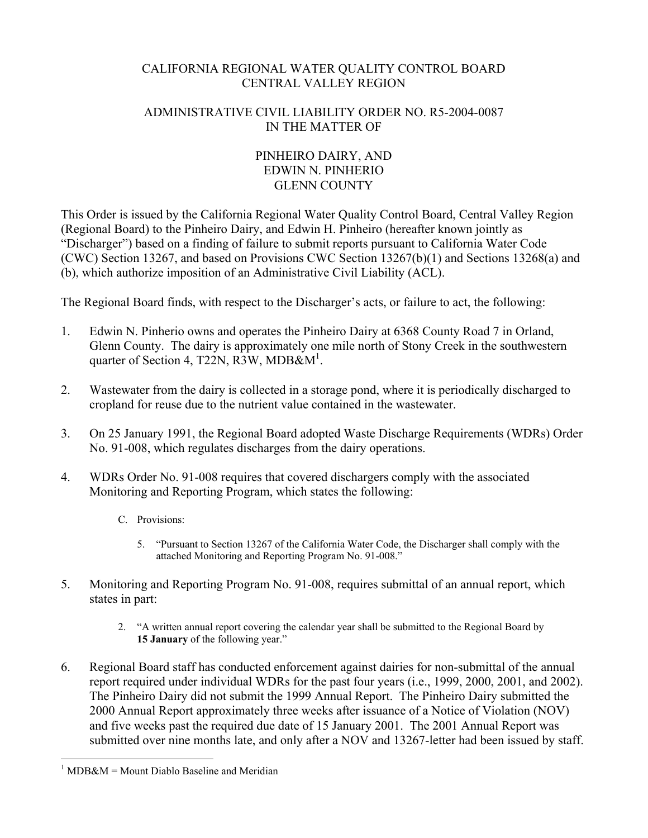## CALIFORNIA REGIONAL WATER QUALITY CONTROL BOARD CENTRAL VALLEY REGION

## ADMINISTRATIVE CIVIL LIABILITY ORDER NO. R5-2004-0087 IN THE MATTER OF

## PINHEIRO DAIRY, AND EDWIN N. PINHERIO GLENN COUNTY

This Order is issued by the California Regional Water Quality Control Board, Central Valley Region (Regional Board) to the Pinheiro Dairy, and Edwin H. Pinheiro (hereafter known jointly as "Discharger") based on a finding of failure to submit reports pursuant to California Water Code (CWC) Section 13267, and based on Provisions CWC Section 13267(b)(1) and Sections 13268(a) and (b), which authorize imposition of an Administrative Civil Liability (ACL).

The Regional Board finds, with respect to the Discharger's acts, or failure to act, the following:

- 1. Edwin N. Pinherio owns and operates the Pinheiro Dairy at 6368 County Road 7 in Orland, Glenn County. The dairy is approximately one mile north of Stony Creek in the southwestern quarter of Section 4, T22N, R3W, MDB& $M^1$ .
- 2. Wastewater from the dairy is collected in a storage pond, where it is periodically discharged to cropland for reuse due to the nutrient value contained in the wastewater.
- 3. On 25 January 1991, the Regional Board adopted Waste Discharge Requirements (WDRs) Order No. 91-008, which regulates discharges from the dairy operations.
- 4. WDRs Order No. 91-008 requires that covered dischargers comply with the associated Monitoring and Reporting Program, which states the following:
	- C. Provisions:
		- 5. "Pursuant to Section 13267 of the California Water Code, the Discharger shall comply with the attached Monitoring and Reporting Program No. 91-008."
- 5. Monitoring and Reporting Program No. 91-008, requires submittal of an annual report, which states in part:
	- 2. "A written annual report covering the calendar year shall be submitted to the Regional Board by **15 January** of the following year."
- 6. Regional Board staff has conducted enforcement against dairies for non-submittal of the annual report required under individual WDRs for the past four years (i.e., 1999, 2000, 2001, and 2002). The Pinheiro Dairy did not submit the 1999 Annual Report. The Pinheiro Dairy submitted the 2000 Annual Report approximately three weeks after issuance of a Notice of Violation (NOV) and five weeks past the required due date of 15 January 2001. The 2001 Annual Report was submitted over nine months late, and only after a NOV and 13267-letter had been issued by staff.

 $\overline{a}$  $1$  MDB&M = Mount Diablo Baseline and Meridian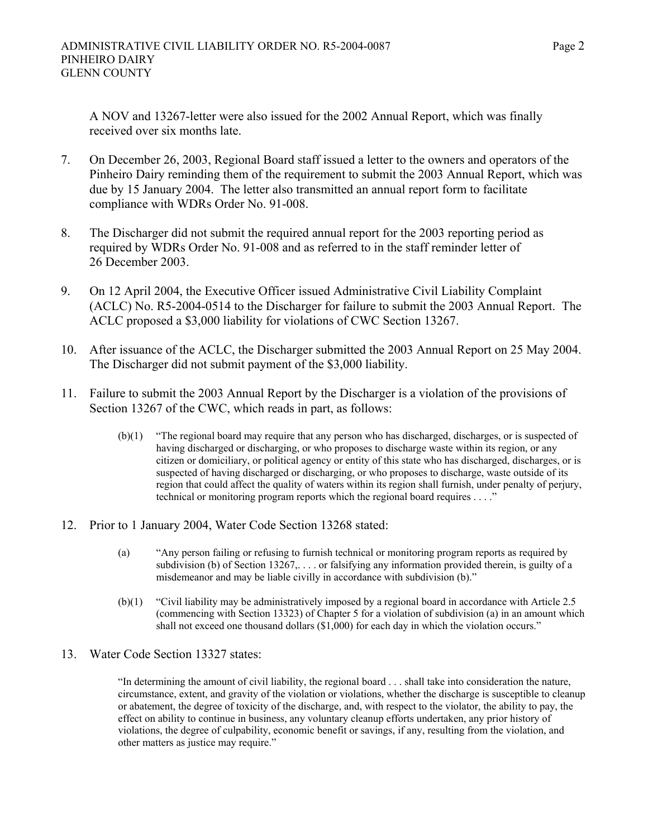A NOV and 13267-letter were also issued for the 2002 Annual Report, which was finally received over six months late.

- 7. On December 26, 2003, Regional Board staff issued a letter to the owners and operators of the Pinheiro Dairy reminding them of the requirement to submit the 2003 Annual Report, which was due by 15 January 2004. The letter also transmitted an annual report form to facilitate compliance with WDRs Order No. 91-008.
- 8. The Discharger did not submit the required annual report for the 2003 reporting period as required by WDRs Order No. 91-008 and as referred to in the staff reminder letter of 26 December 2003.
- 9. On 12 April 2004, the Executive Officer issued Administrative Civil Liability Complaint (ACLC) No. R5-2004-0514 to the Discharger for failure to submit the 2003 Annual Report. The ACLC proposed a \$3,000 liability for violations of CWC Section 13267.
- 10. After issuance of the ACLC, the Discharger submitted the 2003 Annual Report on 25 May 2004. The Discharger did not submit payment of the \$3,000 liability.
- 11. Failure to submit the 2003 Annual Report by the Discharger is a violation of the provisions of Section 13267 of the CWC, which reads in part, as follows:
	- (b)(1) "The regional board may require that any person who has discharged, discharges, or is suspected of having discharged or discharging, or who proposes to discharge waste within its region, or any citizen or domiciliary, or political agency or entity of this state who has discharged, discharges, or is suspected of having discharged or discharging, or who proposes to discharge, waste outside of its region that could affect the quality of waters within its region shall furnish, under penalty of perjury, technical or monitoring program reports which the regional board requires . . . ."
- 12. Prior to 1 January 2004, Water Code Section 13268 stated:
	- (a) "Any person failing or refusing to furnish technical or monitoring program reports as required by subdivision (b) of Section 13267, . . . . or falsifying any information provided therein, is guilty of a misdemeanor and may be liable civilly in accordance with subdivision (b)."
	- (b)(1) "Civil liability may be administratively imposed by a regional board in accordance with Article 2.5 (commencing with Section 13323) of Chapter 5 for a violation of subdivision (a) in an amount which shall not exceed one thousand dollars (\$1,000) for each day in which the violation occurs."
- 13. Water Code Section 13327 states:

"In determining the amount of civil liability, the regional board . . . shall take into consideration the nature, circumstance, extent, and gravity of the violation or violations, whether the discharge is susceptible to cleanup or abatement, the degree of toxicity of the discharge, and, with respect to the violator, the ability to pay, the effect on ability to continue in business, any voluntary cleanup efforts undertaken, any prior history of violations, the degree of culpability, economic benefit or savings, if any, resulting from the violation, and other matters as justice may require."